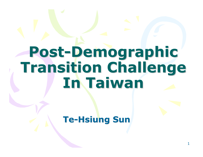## Post-Demographic Transition Challenge In Taiwan

Te-Hsiung Sun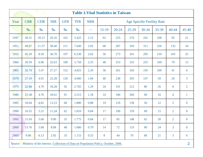|      | <b>Table 1. Vital Statistics in Taiwan</b> |            |            |                                                                              |       |      |                                                                                           |           |           |       |       |                |                |
|------|--------------------------------------------|------------|------------|------------------------------------------------------------------------------|-------|------|-------------------------------------------------------------------------------------------|-----------|-----------|-------|-------|----------------|----------------|
| Year | <b>CBR</b>                                 | <b>CDR</b> | <b>NIR</b> | <b>TFR</b><br><b>NRR</b><br><b>GFR</b><br><b>Age Specifie Fertility Rate</b> |       |      |                                                                                           |           |           |       |       |                |                |
|      | $\%$                                       | $\%$       | $\%$       | $\%$                                                                         | $\%$  |      | $15-19$                                                                                   | $20 - 24$ | $25 - 29$ | 30-34 | 35-39 | $40 - 44$      | 45-49          |
| 1947 | 38.31                                      | 18.15      | 20.16      | 162                                                                          | 5.425 | 2.12 | 62                                                                                        | 225       | 276       | 241   | 168   | 92             | 21             |
| 1951 | 49.97                                      | 11.37      | 38.40      | 211                                                                          | 7.640 | 2.82 | 68                                                                                        | 287       | 350       | 311   | 226   | 132            | 34             |
| 1955 | 45.29                                      | 8.59       | 36.70      | 197                                                                          | 6.530 | 2.82 | 50                                                                                        | 273       | 341       | 295   | 210   | 103            | 25             |
| 1960 | 39.59                                      | 6.96       | 32.63      | 180                                                                          | 5.750 | 2.55 | 48                                                                                        | 253       | 333       | 255   | 169   | 79             | 13             |
| 1965 | 32.74                                      | 5.47       | 27.27      | 152                                                                          | 4.825 | 2.20 | 36                                                                                        | 261       | 326       | 195   | 100   | 41             | 6              |
| 1970 | 27.19                                      | 4.91       | 22.28      | 120                                                                          | 4.000 | 1.84 | 40                                                                                        | 238       | 293       | 147   | 59    | 20             | $\overline{3}$ |
| 1975 | 22.98                                      | 4.70       | 18.28      | 92                                                                           | 2.765 | 1.29 | 34                                                                                        | 191       | 212       | 80    | 26    | 8              | $\overline{2}$ |
| 1980 | 23.38                                      | 4.76       | 18.61      | 91                                                                           | 2.515 | 1.18 | 33                                                                                        | 180       | 200       | 69    | 16    | $\overline{4}$ | $\mathbf{1}$   |
| 1985 | 18.04                                      | 4.81       | 13.23      | 68                                                                           | 1.880 | 0.88 | 19                                                                                        | 129       | 158       | 56    | 12    | $\overline{2}$ | $\mathbf{0}$   |
| 1990 | 16.55                                      | 5.21       | 11.34      | 62                                                                           | 1.810 | 0.84 | 17                                                                                        | 100       | 159       | 69    | 15    | $\overline{2}$ | $\mathbf{0}$   |
| 1995 | 15.50                                      | 5.60       | 9.90       | 55                                                                           | 1.775 | 0.84 | 17                                                                                        | 85        | 148       | 62    | 20    | $\overline{2}$ | $\mathbf{0}$   |
| 2000 | 13.76                                      | 5.68       | 8.08       | 48                                                                           | 1.680 | 0.79 | 14                                                                                        | 72        | 133       | 90    | 24    | 3              | $\overline{0}$ |
| 2005 | 9.06                                       | 6.13       | 2.92       | 33                                                                           | 1.115 | 0.53 | 8                                                                                         | 44        | 79        | 68    | 21    | 3              | $\mathbf{0}$   |
|      |                                            |            |            |                                                                              |       |      | Source: Ministry of the Interior, Collection of Data on Population Policy, October, 2006. |           |           |       |       |                | $\overline{2}$ |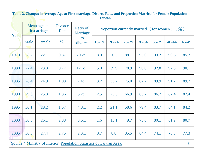|      | Table 2. Changes in Average Age at First marriage, Divorce Rate, and Proportion Married for Female Population in<br><b>Taiwan</b> |                              |                        |                                                                     |                                                          |           |           |           |       |           |       |  |  |
|------|-----------------------------------------------------------------------------------------------------------------------------------|------------------------------|------------------------|---------------------------------------------------------------------|----------------------------------------------------------|-----------|-----------|-----------|-------|-----------|-------|--|--|
| Year |                                                                                                                                   | Mean age at<br>first arriage | <b>Divorce</b><br>Rate | Ratio of<br>Marriage                                                | Proportion currently married (for women) $(\frac{9}{0})$ |           |           |           |       |           |       |  |  |
|      | Male                                                                                                                              | Female                       | $\%$                   | to<br>divorce                                                       | $15-19$                                                  | $20 - 24$ | $25 - 29$ | $30 - 34$ | 35-39 | $40 - 44$ | 45-49 |  |  |
| 1970 | 28.2                                                                                                                              | 22.1                         | 0.37                   | 20.2:1                                                              | 8.0                                                      | 50.3      | 88.1      | 93.0      | 93.2  | 90.6      | 85.7  |  |  |
| 1980 | 27.4                                                                                                                              | 23.8                         | 0.77                   | 12.6:1                                                              | 5.0                                                      | 39.9      | 78.9      | 90.0      | 92.8  | 92.5      | 90.1  |  |  |
| 1985 | 28.4                                                                                                                              | 24.9                         | 1.08                   | 7.4:1                                                               | 3.2                                                      | 33.7      | 75.0      | 87.2      | 89.9  | 91.2      | 89.7  |  |  |
| 1990 | 29.0                                                                                                                              | 25.8                         | 1.36                   | 5.2:1                                                               | 2.5                                                      | 25.5      | 66.9      | 83.7      | 86.7  | 87.4      | 87.4  |  |  |
| 1995 | 30.1                                                                                                                              | 28.2                         | 1.57                   | 4.8:1                                                               | 2.2                                                      | 21.1      | 58.6      | 79.4      | 83.7  | 84.1      | 84.2  |  |  |
| 2000 | 30.3                                                                                                                              | 26.1                         | 2.38                   | 3.5:1                                                               | 1.6                                                      | 15.1      | 49.7      | 73.6      | 80.1  | 81.2      | 80.7  |  |  |
| 2005 | 30.6                                                                                                                              | 27.4                         | 2.75                   | 2.3:1                                                               | 0.7                                                      | 8.8       | 35.5      | 64.4      | 74.1  | 76.8      | 77.3  |  |  |
|      |                                                                                                                                   |                              |                        | Source: Ministry of Interior, Population Statistics of Taiwan Area. |                                                          |           |           |           |       |           | 3     |  |  |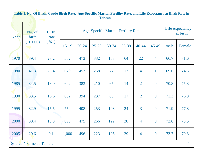|      | Table 3. No. Of Birth, Crude Birth Rate, Age-Specific Marital Fertility Rate, and Life Expectancy at Birth Rate in<br><b>Taiwan</b> |                      |                                            |           |           |           |           |                |                  |      |                             |  |
|------|-------------------------------------------------------------------------------------------------------------------------------------|----------------------|--------------------------------------------|-----------|-----------|-----------|-----------|----------------|------------------|------|-----------------------------|--|
| Year | No. of<br>birth                                                                                                                     | <b>Birth</b><br>Rate | <b>Age-Specific Marital Fertility Rate</b> |           |           |           |           |                |                  |      | Life expectancy<br>at birth |  |
|      | (10,000)                                                                                                                            | $(\%$ o              | $15-19$                                    | $20 - 24$ | $25 - 29$ | $30 - 34$ | $35 - 39$ | $40 - 44$      | 45-49            | male | Female                      |  |
| 1970 | 39.4                                                                                                                                | 27.2                 | 502                                        | 473       | 332       | 158       | 64        | 22             | $\overline{4}$   | 66.7 | 71.6                        |  |
| 1980 | 41.3                                                                                                                                | 23.4                 | 670                                        | 453       | 258       | 77        | 17        | $\overline{4}$ | $\mathbf{1}$     | 69.6 | 74.5                        |  |
| 1985 | 34.5                                                                                                                                | 18.0                 | 602                                        | 383       | 210       | 65        | 14        | $\overline{2}$ | $\boldsymbol{0}$ | 70.8 | 75.8                        |  |
| 1990 | 33.5                                                                                                                                | 16.6                 | 682                                        | 394       | 237       | 80        | 17        | $\overline{2}$ | $\overline{0}$   | 71.3 | 76.8                        |  |
| 1995 | 32.9                                                                                                                                | 15.5                 | 754                                        | 408       | 253       | 103       | 24        | 3              | $\boldsymbol{0}$ | 71.9 | 77.8                        |  |
| 2000 | 30.4                                                                                                                                | 13.8                 | 898                                        | 475       | 266       | 122       | 30        | $\overline{4}$ | $\boldsymbol{0}$ | 72.6 | 78.5                        |  |
| 2005 | 20.6                                                                                                                                | 9.1                  | 1,000                                      | 496       | 223       | 105       | 29        | $\overline{4}$ | $\bf{0}$         | 73.7 | 79.8                        |  |
|      | Source: Same as Table 2.                                                                                                            |                      |                                            |           |           |           |           |                |                  |      | 4                           |  |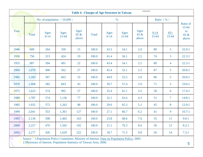|      | <b>Table 4. Charges of Age Structure in Taiwan</b>                     |                                                                                                |                 |                       |              |                |                   |                       |                       |                    |                                              |
|------|------------------------------------------------------------------------|------------------------------------------------------------------------------------------------|-----------------|-----------------------|--------------|----------------|-------------------|-----------------------|-----------------------|--------------------|----------------------------------------------|
|      | $\frac{0}{6}$<br>Ratio $(\frac{9}{0})$<br>No. of population $(10,000)$ |                                                                                                |                 |                       |              |                |                   |                       |                       |                    |                                              |
| Year | <b>Total</b>                                                           | Ages<br>$0 - 14$                                                                               | Ages<br>$15-64$ | Ages<br>65 &<br>above | <b>Total</b> | Ages<br>$0-14$ | Ages<br>$15 - 64$ | Ages<br>65 &<br>above | $0 - 14$<br>$15 - 64$ | $65+$<br>$15 - 64$ | Ratio of<br>$15 - 64$<br>to<br>65 &<br>above |
| 1946 | 609                                                                    | 264                                                                                            | 330             | 15                    | 100.0        | 43.3           | 54.1              | 2.6                   | 80                    | 5 <sup>5</sup>     | 22.0:1                                       |
| 1950 | 756                                                                    | 313                                                                                            | 424             | 19                    | 100.0        | 41.4           | 56.1              | 2.5                   | 74                    | 5 <sup>5</sup>     | 22.3:1                                       |
| 1955 | 907                                                                    | 394                                                                                            | 491             | 22                    | 100.0        | 43.4           | 54.1              | 2.5                   | 80                    | $\overline{4}$     | 22.3:1                                       |
| 1960 | 1,079                                                                  | 490                                                                                            | 562             | 27                    | 100.0        | 45.4           | 52.1              | 2.5                   | 87                    | $5\overline{)}$    | 20.8:1                                       |
| 1965 | 1,263                                                                  | 567                                                                                            | 663             | 33                    | 100.0        | 44.9           | 52.5              | 2.6                   | 86                    | 5                  | 20.0:1                                       |
| 1970 | 1,468                                                                  | 582                                                                                            | 843             | 43                    | 100.0        | 39.7           | 57.4              | 2.9                   | 71                    | 5                  | 19.6:1                                       |
| 1975 | 1,623                                                                  | 574                                                                                            | 992             | 57                    | 100.0        | 35.4           | 61.1              | 3.5                   | 58                    | 6                  | 17.4:1                                       |
| 1980 | 1,787                                                                  | 574                                                                                            | 1,136           | 77                    | 100.0        | 32.1           | 63.6              | 4.3                   | 51                    | $\overline{7}$     | 14.8:1                                       |
| 1985 | 1,932                                                                  | 572                                                                                            | 1,262           | 98                    | 100.0        | 29.6           | 65.3              | 5.1                   | 45                    | 8                  | 12.9:1                                       |
| 1990 | 2,041                                                                  | 553                                                                                            | 1,361           | 127                   | 100.0        | 27.1           | 66.7              | 6.2                   | 41                    | 9                  | 10.7:1                                       |
| 1995 | 2,136                                                                  | 508                                                                                            | 1,465           | 163                   | 100.0        | 23.8           | 68.6              | 7.6                   | 35                    | 11                 | 9.0:1                                        |
| 2000 | 2,227                                                                  | 470                                                                                            | 1,565           | 192                   | 100.0        | 21.1           | 70.3              | 8.6                   | 30                    | 12                 | 8.2:1                                        |
| 2005 | 2,277                                                                  | 426                                                                                            | 1,629           | 222                   | 100.0        | 18.7           | 71.5              | 9.8                   | 26                    | 14                 | 7.3:1                                        |
|      |                                                                        | Source: 1. Population Policy Committee, Ministry of Interior, Data on Population Policy, 2005. |                 |                       |              |                |                   |                       |                       |                    |                                              |

2.Ministrary of Interior, Population Statistics of Taiwan Area, 2006.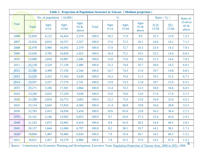|                              | Table 5. Projection of Population Structure in Taiwan (Medium projection) |                  |                   |                          |       |                  |                       |                       |                       |                    |                                |
|------------------------------|---------------------------------------------------------------------------|------------------|-------------------|--------------------------|-------|------------------|-----------------------|-----------------------|-----------------------|--------------------|--------------------------------|
| No. of population $(10,000)$ |                                                                           |                  |                   |                          |       | $\%$             | Ratio $(\frac{9}{6})$ |                       | Ratio of              |                    |                                |
| Year                         | <b>Total</b>                                                              | Ages<br>$0 - 14$ | Ages<br>$15 - 64$ | Ages<br>$65 \&$<br>above | Total | Ages<br>$0 - 14$ | Ages<br>$15 - 64$     | Ages<br>65 &<br>above | $0 - 14$<br>$15 - 64$ | $65+$<br>$15 - 64$ | $15-64$ to<br>$65 \&$<br>above |
| 2006                         | 22,850                                                                    | 4,152            | 16,424            | 2,274                    | 100.0 | 18.2             | 71.9                  | 9.9                   | 25.3                  | 13.9               | 7.2:1                          |
| 2007                         | 22,916                                                                    | 4,032            | 16,557            | 2,327                    | 100.0 | 17.6             | 72.3                  | 10.1                  | 24.4                  | 14.1               | 7.1:1                          |
| 2008                         | 22,978                                                                    | 3,906            | 16,693            | 2,379                    | 100.0 | 17.0             | 72.7                  | 10.3                  | 23.4                  | 14.3               | 7.0:1                          |
| 2009                         | 23,036                                                                    | 3,782            | 16,828            | 2,425                    | 100.0 | 16.4             | 73.1                  | 10.5                  | 22.5                  | 14.4               | 6.9:1                          |
| 2010                         | 23,089                                                                    | 3,656            | 16,987            | 2,446                    | 100.0 | 15.8             | 73.6                  | 10.6                  | 21.5                  | 14.4               | 7.0:1                          |
| 2011                         | 23,138                                                                    | 3,529            | 17,128            | 2,480                    | 100.0 | 15.3             | 74.0                  | 10.7                  | 20.6                  | 14.5               | 6.9:1                          |
| 2012                         | 23,180                                                                    | 3,399            | 17,236            | 2,544                    | 100.0 | 14.7             | 74.3                  | 11.0                  | 19.7                  | 14.8               | 6.8:1                          |
| 2013                         | 23,216                                                                    | 3,322            | 17,264            | 2,630                    | 100.0 | 14.3             | 74.4                  | 11.3                  | 19.2                  | 15.2               | 6.7:1                          |
| 2014                         | 23,247                                                                    | 3,227            | 17,279            | 2,741                    | 100.0 | 13.9             | 74.3                  | 11.8                  | 18.7                  | 15.9               | 6.3:1                          |
| 2015                         | 23,271                                                                    | 3,106            | 17,301            | 2,864                    | 100.0 | 13.4             | 74.3                  | 12.3                  | 18.0                  | 16.6               | 6.0:1                          |
| 2016                         | 23,290                                                                    | 3,032            | 17,229            | 3,030                    | 100.0 | 13.0             | 74.0                  | 13.0                  | 17.6                  | 17.6               | 5.7:1                          |
| 2020                         | 23,299                                                                    | 2,834            | 16,772            | 3,692                    | 100.0 | 12.2             | 72.0                  | 15.8                  | 16.9                  | 22.0               | 4.5:1                          |
| 2025                         | 23,154                                                                    | 2,645            | 15,924            | 4,585                    | 100.0 | 11.4             | 68.8                  | 19.8                  | 16.6                  | 28.8               | 3.5:1                          |
| 2030                         | 22,783                                                                    | 2,413            | 14,936            | 5,434                    | 100.0 | 10.6             | 65.6                  | 23.8                  | 16.2                  | 36.4               | 2.7:1                          |
| 2035                         | 22,141                                                                    | 2,146            | 13,942            | 6,053                    | 100.0 | 9.7              | 63.0                  | 27.3                  | 15.4                  | 43.4               | 2.3:1                          |
| 2040                         | 21,243                                                                    | 1,872            | 12,962            | 6,410                    | 100.0 | 8.8              | 61.0                  | 30.2                  | 14.4                  | 49.5               | 2.0:1                          |
| 2045                         | 20,137                                                                    | 1,644            | 11,696            | 6,797                    | 100.0 | 8.2              | 58.1                  | 33.7                  | 14.1                  | 58.1               | 1.7:1                          |
| 2050                         | 18,884                                                                    | 1,483            | 10,466            | 6,934                    | 100.0 | 7.9              | 55.4                  | 36.7                  | 14.2                  | 66.3               | 1.5:1                          |
| 2051                         | 18,621                                                                    | 1,457            | 10,279            | 6,886                    | 100.0 | 7.8              | 55.2                  | 37.0                  | 14.2                  | 67.0               | 1.5:1                          |
|                              |                                                                           |                  |                   |                          |       |                  |                       |                       |                       |                    | 6                              |

Source: Commission for Economic Planning and Development, Executive Yuan, Population Projection of Taiwan Area, 2006 to 2051, 2006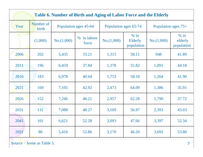|      | Table 6. Number of Birth and Aging of Labor Force and the Elderly |                       |                       |            |                                 |                     |                                 |  |  |
|------|-------------------------------------------------------------------|-----------------------|-----------------------|------------|---------------------------------|---------------------|---------------------------------|--|--|
| Year | Number of<br>birth                                                | Population ages 45-64 | Population ages 65-74 |            |                                 | Population ages 75+ |                                 |  |  |
|      | (1,000)                                                           | No.(1,000)            | % in labore<br>force  | No.(1,000) | $%$ in<br>Elderly<br>population | No.(1,000)          | $%$ in<br>elderly<br>population |  |  |
| 2006 | 202                                                               | 5,435                 | 33.21                 | 1,315      | 58.11                           | 948                 | 41.89                           |  |  |
| 2011 | 196                                                               | 6,459                 | 37.84                 | 1,378      | 55.82                           | 1,091               | 44.18                           |  |  |
| 2016 | 183                                                               | 6,978                 | 40.64                 | 1,753      | 58.10                           | 1,264               | 41.90                           |  |  |
| 2021 | 169                                                               | 7,105                 | 42.92                 | 2,473      | 64.09                           | 1,386               | 35.91                           |  |  |
| 2026 | 152                                                               | 7,246                 | 46.21                 | 2,957      | 62.28                           | 1,790               | 37.72                           |  |  |
| 2031 | 131                                                               | 7,088                 | 48.27                 | 3,169      | 56.97                           | 2,393               | 43.03                           |  |  |
| 2041 | 101                                                               | 6,621                 | 52.28                 | 3,093      | 47.66                           | 3,397               | 52.34                           |  |  |
| 2051 | 86                                                                | 5,416                 | 52.86                 | 3,170      | 46.20                           | 3,692               | 53.80                           |  |  |

Source: Some as Table 5.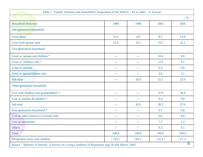| Table 7. Family Structure and Household Composition of the Elderly (65 or older) in Taiwan       |               |                     |        |                 |
|--------------------------------------------------------------------------------------------------|---------------|---------------------|--------|-----------------|
|                                                                                                  |               |                     |        | $($ %)          |
| <b>Household Structure</b>                                                                       | 1989          | 1996                | 2002   | 2005            |
| One generation household :                                                                       |               |                     |        |                 |
| Lives alone                                                                                      | 10.2          | 9.6                 | 8.5    | 13.9            |
| Lives with spouse only                                                                           | 12.6          | 16.1                | 19.5   | 22.2            |
| Two generation household                                                                         |               |                     |        |                 |
| Lives w/ spouse and children *                                                                   | $---$         | ---                 | 10.4   | 9.8             |
| Lives w/ children only *                                                                         | $---$         | $\frac{1}{2}$       | 12.5   | 9.1             |
| Lives w/ parents                                                                                 | ---           | $\frac{1}{2}$       | 0.3    | 0.6             |
| Lives w/ grandchildren only                                                                      | ---           | $\qquad \qquad - -$ | 2.0    | 3.1             |
| Sub total                                                                                        | $- - -$       | 26.0                | 25.2   | 22.6            |
| Three generation household                                                                       |               |                     |        |                 |
| Live with children and grandchildren *                                                           | $---$         | ---                 | 37.8   | 36.8            |
| Live $w/$ parents & children $*$                                                                 | ---           | ---                 | 0.4    | 0.8             |
| Sub total                                                                                        | ---           | 42.0                | 38.2   | 37.6            |
| Four generation household *                                                                      | $\frac{1}{2}$ | $\frac{1}{2}$       | 0.3    | 0.6             |
| Live w/ other relatives or friends only                                                          | ---           | ---                 | 0.6    | 0.8             |
| Live in institutions                                                                             |               | ---                 | 7.5    | 2.2             |
| Others                                                                                           |               | ---                 | 0.2    | 0.1             |
| Total                                                                                            | 100.0         | 100.0               | 100.0  | 100.0           |
| *Proportion lives with children                                                                  | (70.6)        | (69.1)              | (61.4) | (57.2)          |
| Source: Ministry of Interior, A Survey on Living Condition of Population Age 50 and Above, 2005. |               |                     |        | $8\overline{)}$ |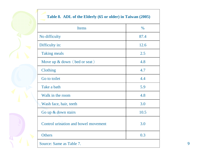| $\int$                   |
|--------------------------|
| $\overline{\phantom{a}}$ |

## Source: Same as Table 7.е производство на селото на селото на селото на селото на селото на селото на селото на селото на селото на се<br>В 1990 година од селото на селото на селото на селото на селото на селото на селото на селото на селото на сел **Others**  $\sim 0.3$ Control urination and bowel movement 3.0Go up & down stairs $10.5$ Wash face, hair, teeth $h \hspace{1.5cm} 3.0$ Walk in the roomm 4.8 Take a bathh 5.9 Go to toilett  $4.4$ Clothing $g \t 4.7$ Move up & down (bed or seat)  $\begin{array}{c|c|c|c} \hline \end{array}$ Taking meals $\sim$  2.5 Difficulty in: $\frac{12.6}{ }$ No difficultyy 87.4 Items $\sim$   $\frac{\%}{\%}$ **Table 8. ADL of the Elderly (65 or older) in Taiwan (2005)**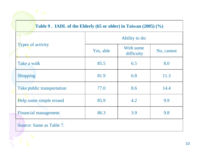|                            | Ability to do: |                         |            |  |  |  |  |  |
|----------------------------|----------------|-------------------------|------------|--|--|--|--|--|
| <b>Types of activity</b>   | Yes, able      | With some<br>difficulty | No, cannot |  |  |  |  |  |
| Take a walk                | 85.5           | 6.5                     | 8.0        |  |  |  |  |  |
| <b>Shopping</b>            | 81.9           | 6.8                     | 11.3       |  |  |  |  |  |
| Take public transportation | 77.0           | 8.6                     | 14.4       |  |  |  |  |  |
| Help some simple errand    | 85.9           | 4.2                     | 9.9        |  |  |  |  |  |
| Financial management       | 86.3           | 3.9                     | 9.8        |  |  |  |  |  |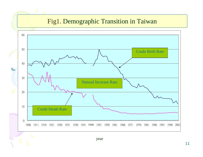## Fig1. Demographic Transition in Taiwan